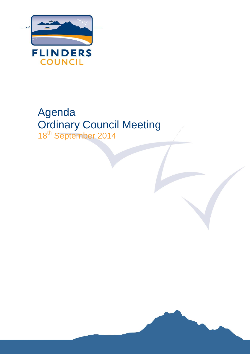

# Agenda Ordinary Council Meeting 18<sup>th</sup> September 2014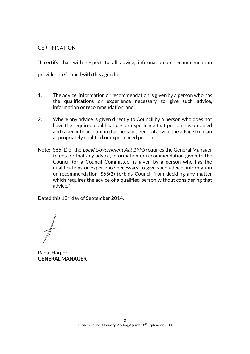#### **CERTIFICATION**

"I certify that with respect to all advice, information or recommendation provided to Council with this agenda:

- 1. The advice, information or recommendation is given by a person who has the qualifications or experience necessary to give such advice, information or recommendation, and;
- 2. Where any advice is given directly to Council by a person who does not have the required qualifications or experience that person has obtained and taken into account in that person's general advice the advice from an appropriately qualified or experienced person.
- Note: S65(1) of the *Local Government Act 1993* requires the General Manager to ensure that any advice, information or recommendation given to the Council (or a Council Committee) is given by a person who has the qualifications or experience necessary to give such advice, information or recommendation. S65(2) forbids Council from deciding any matter which requires the advice of a qualified person without considering that advice."

Dated this 12<sup>th</sup> day of September 2014.

Raoul Harper GENERAL MANAGER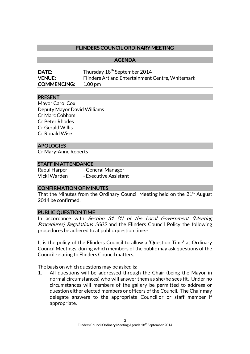# FLINDERS COUNCIL ORDINARY MEETING

AGENDA

| <b>DATE:</b>       | Thursday 18 <sup>th</sup> September 2014         |
|--------------------|--------------------------------------------------|
| <b>VENUE:</b>      | Flinders Art and Entertainment Centre, Whitemark |
| <b>COMMENCING:</b> | 1.00 pm                                          |

#### PRESENT

Mayor Carol Cox Deputy Mayor David Williams Cr Marc Cobham Cr Peter Rhodes Cr Gerald Willis Cr Ronald Wise

#### APOLOGIES

Cr Mary-Anne Roberts

#### STAFF IN ATTENDANCE

Raoul Harper - General Manager Vicki Warden - Executive Assistant

#### CONFIRMATION OF MINUTES

That the Minutes from the Ordinary Council Meeting held on the  $21<sup>st</sup>$  August 2014 be confirmed.

#### PUBLIC QUESTION TIME

In accordance with Section 31 (1) of the Local Government (Meeting Procedures) Regulations 2005 and the Flinders Council Policy the following procedures be adhered to at public question time:-

It is the policy of the Flinders Council to allow a 'Question Time' at Ordinary Council Meetings, during which members of the public may ask questions of the Council relating to Flinders Council matters.

The basis on which questions may be asked is:

1. All questions will be addressed through the Chair (being the Mayor in normal circumstances) who will answer them as she/he sees fit. Under no circumstances will members of the gallery be permitted to address or question either elected members or officers of the Council. The Chair may delegate answers to the appropriate Councillor or staff member if appropriate.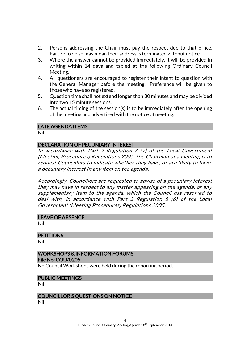- 2. Persons addressing the Chair must pay the respect due to that office. Failure to do so may mean their address is terminated without notice.
- 3. Where the answer cannot be provided immediately, it will be provided in writing within 14 days and tabled at the following Ordinary Council Meeting.
- 4. All questioners are encouraged to register their intent to question with the General Manager before the meeting. Preference will be given to those who have so registered.
- 5. Question time shall not extend longer than 30 minutes and may be divided into two 15 minute sessions.
- 6. The actual timing of the session(s) is to be immediately after the opening of the meeting and advertised with the notice of meeting.

# LATE AGENDA ITEMS

Nil

#### DECLARATION OF PECUNIARY INTEREST

In accordance with Part 2 Regulation 8 (7) of the Local Government (Meeting Procedures) Regulations 2005, the Chairman of a meeting is to request Councillors to indicate whether they have, or are likely to have, a pecuniary interest in any item on the agenda.

Accordingly, Councillors are requested to advise of a pecuniary interest they may have in respect to any matter appearing on the agenda, or any supplementary item to the agenda, which the Council has resolved to deal with, in accordance with Part 2 Regulation 8 (6) of the Local Government (Meeting Procedures) Regulations 2005.

#### LEAVE OF ABSENCE

Nil

#### **PETITIONS**

Nil

#### WORKSHOPS & INFORMATION FORUMS File No: COU/0205

No Council Workshops were held during the reporting period.

#### PUBLIC MEETINGS

Nil

# COUNCILLOR'S QUESTIONS ON NOTICE

Nil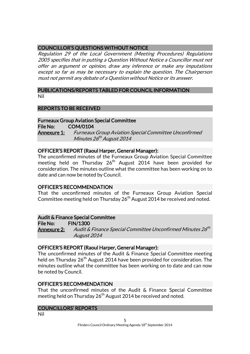# COUNCILLOR'S QUESTIONS WITHOUT NOTICE

Regulation 29 of the Local Government (Meeting Procedures) Regulations 2005 specifies that in putting a Question Without Notice a Councillor must not offer an argument or opinion, draw any inference or make any imputations except so far as may be necessary to explain the question. The Chairperson must not permit any debate of a Question without Notice or its answer.

#### PUBLICATIONS/REPORTS TABLED FOR COUNCIL INFORMATION Nil

# REPORTS TO BE RECEIVED

#### Furneaux Group Aviation Special Committee

File No: COM/0104 Annexure 1: Furneaux Group Aviation Special Committee Unconfirmed Minutes 26<sup>th</sup> August 2014

#### OFFICER'S REPORT (Raoul Harper, General Manager):

The unconfirmed minutes of the Furneaux Group Aviation Special Committee meeting held on Thursday 26<sup>th</sup> August 2014 have been provided for consideration. The minutes outline what the committee has been working on to date and can now be noted by Council.

#### OFFICER'S RECOMMENDATION

That the unconfirmed minutes of the Furneaux Group Aviation Special Committee meeting held on Thursday  $26<sup>th</sup>$  August 2014 be received and noted.

#### Audit & Finance Special Committee

File No: FIN/1300 **Annexure 2:** Audit & Finance Special Committee Unconfirmed Minutes 26<sup>th</sup> August 2014

#### OFFICER'S REPORT (Raoul Harper, General Manager):

The unconfirmed minutes of the Audit & Finance Special Committee meeting held on Thursday 26<sup>th</sup> August 2014 have been provided for consideration. The minutes outline what the committee has been working on to date and can now be noted by Council.

#### OFFICER'S RECOMMENDATION

That the unconfirmed minutes of the Audit & Finance Special Committee meeting held on Thursday 26<sup>th</sup> August 2014 be received and noted.

#### COUNCILLORS' REPORTS

Nil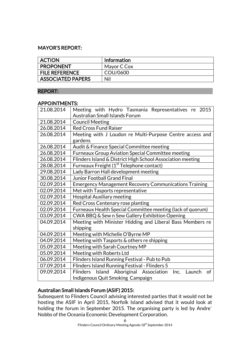# MAYOR'S REPORT:

| <b>ACTION</b>            | Information |
|--------------------------|-------------|
| <b>PROPONENT</b>         | Mayor C Cox |
| <b>FILE REFERENCE</b>    | COU/0600    |
| <b>ASSOCIATED PAPERS</b> | Nil         |

#### REPORT:

#### APPOINTMENTS:

| 21.08.2014 | Meeting with Hydro Tasmania Representatives re 2015                      |
|------------|--------------------------------------------------------------------------|
|            | <b>Australian Small Islands Forum</b>                                    |
| 21.08.2014 | <b>Council Meeting</b>                                                   |
| 26.08.2014 | <b>Red Cross Fund Raiser</b>                                             |
| 26.08.2014 | Meeting with J Loudon re Multi-Purpose Centre access and<br>gardens      |
| 26.08.2014 | Audit & Finance Special Committee meeting                                |
| 26.08.2014 | <b>Furneaux Group Aviation Special Committee meeting</b>                 |
| 26.08.2014 | Flinders Island & District High School Association meeting               |
| 28.08.2014 | Furneaux Freight (1 <sup>st</sup> Telephone contact)                     |
| 29.08.2014 | Lady Barron Hall development meeting                                     |
| 30.08.2014 | <b>Junior Football Grand Final</b>                                       |
| 02.09.2014 | <b>Emergency Management Recovery Communications Training</b>             |
| 02.09.2014 | Met with Tasports representative                                         |
| 02.09.2014 | <b>Hospital Auxiliary meeting</b>                                        |
| 02.09.2014 | Red Cross Centenary rose planting                                        |
| 02.09.2014 | Furneaux Health Special Committee meeting (lack of quorum)               |
| 03.09.2014 | CWA BBQ & Sew n Sew Gallery Exhibition Opening                           |
| 04.09.2014 | Meeting with Minister Hidding and Liberal Bass Members re<br>shipping    |
| 04.09.2014 | Meeting with Michelle O'Byrne MP                                         |
| 04.09.2014 | Meeting with Tasports & others re shipping                               |
| 05.09.2014 | Meeting with Sarah Courtney MP                                           |
| 05.09.2014 | Meeting with Roberts Ltd                                                 |
| 06.09.2014 | Flinders Island Running Festival - Pub to Pub                            |
| 07.09.2014 | Flinders Island Running Festival - Flinders 5                            |
| 09.09.2014 | Island Aboriginal Association<br><b>Flinders</b><br>Inc.<br>Launch<br>0f |
|            | Indigenous Quit Smoking Campaign                                         |

# Australian Small Islands Forum (ASIF) 2015:

Subsequent to Flinders Council advising interested parties that it would not be hosting the ASIF in April 2015, Norfolk Island advised that it would look at holding the forum in September 2015. The organising party is led by Andre` Nobbs of the Oceania Economic Development Corporation.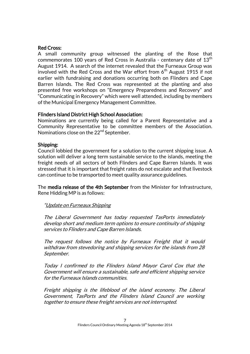#### Red Cross:

A small community group witnessed the planting of the Rose that commemorates 100 years of Red Cross in Australia - centenary date of  $13<sup>th</sup>$ August 1914. A search of the internet revealed that the Furneaux Group was involved with the Red Cross and the War effort from  $6<sup>th</sup>$  August 1915 if not earlier with fundraising and donations occurring both on Flinders and Cape Barren Islands. The Red Cross was represented at the planting and also presented free workshops on "Emergency Preparedness and Recovery" and "Communicating in Recovery" which were well attended, including by members of the Municipal Emergency Management Committee.

# Flinders Island District High School Association:

Nominations are currently being called for a Parent Representative and a Community Representative to be committee members of the Association. Nominations close on the 22<sup>nd</sup> September.

#### Shipping:

Council lobbied the government for a solution to the current shipping issue. A solution will deliver a long term sustainable service to the islands, meeting the freight needs of all sectors of both Flinders and Cape Barren Islands. It was stressed that it is important that freight rates do not escalate and that livestock can continue to be transported to meet quality assurance guidelines.

The media release of the 4th September from the Minister for Infrastructure, Rene Hidding MP is as follows:

#### "Update on Furneaux Shipping

The Liberal Government has today requested TasPorts immediately develop short and medium term options to ensure continuity of shipping services to Flinders and Cape Barren Islands.

The request follows the notice by Furneaux Freight that it would withdraw from stevedoring and shipping services for the islands from 28 September.

Today I confirmed to the Flinders Island Mayor Carol Cox that the Government will ensure a sustainable, safe and efficient shipping service for the Furneaux Islands communities.

Freight shipping is the lifeblood of the island economy. The Liberal Government, TasPorts and the Flinders Island Council are working together to ensure these freight services are not interrupted.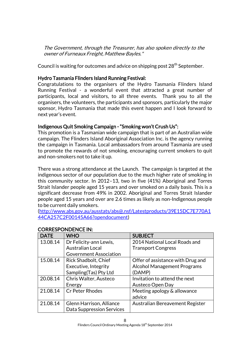The Government, through the Treasurer, has also spoken directly to the owner of Furneaux Freight, Matthew Bayles."

Council is waiting for outcomes and advice on shipping post 28<sup>th</sup> September.

# Hydro Tasmania Flinders Island Running Festival:

Congratulations to the organisers of the Hydro Tasmania Flinders Island Running Festival - a wonderful event that attracted a great number of participants, local and visitors, to all three events. Thank you to all the organisers, the volunteers, the participants and sponsors, particularly the major sponsor, Hydro Tasmania that made this event happen and I look forward to next year's event.

# Indigenous Quit Smoking Campaign - "Smoking won't Crush Us":

This promotion is a Tasmanian wide campaign that is part of an Australian wide campaign. The Flinders Island Aboriginal Association Inc. is the agency running the campaign in Tasmania. Local ambassadors from around Tasmania are used to promote the rewards of not smoking, encouraging current smokers to quit and non-smokers not to take it up.

There was a strong attendance at the Launch. The campaign is targeted at the indigenous sector of our population due to the much higher rate of smoking in this community sector. In 2012–13, two in five (41%) Aboriginal and Torres Strait Islander people aged 15 years and over smoked on a daily basis. This is a significant decrease from 49% in 2002. Aboriginal and Torres Strait Islander people aged 15 years and over are 2.6 times as likely as non-Indigenous people to be current daily smokers.

[\(http://www.abs.gov.au/ausstats/abs@.nsf/Latestproducts/39E15DC7E770A1](http://www.abs.gov.au/ausstats/abs@.nsf/Latestproducts/39E15DC7E770A144CA257C2F00145A66?opendocument) [44CA257C2F00145A66?opendocument\)](http://www.abs.gov.au/ausstats/abs@.nsf/Latestproducts/39E15DC7E770A144CA257C2F00145A66?opendocument)

| <b>DATE</b> | <b>WHO</b>                       | <b>SUBJECT</b>                     |
|-------------|----------------------------------|------------------------------------|
| 13.08.14    | Dr Felicity-ann Lewis,           | 2014 National Local Roads and      |
|             | <b>Australian Local</b>          | <b>Transport Congress</b>          |
|             | <b>Government Association</b>    |                                    |
| 15.08.14    | Rick Shadbolt, Chief             | Offer of assistance with Drug and  |
|             | Executive, Integrity             | <b>Alcohol Management Programs</b> |
|             | Sampling(Tas) Pty Ltd            | (DAMP)                             |
| 20.08.14    | Chris Walter, Austeco            | Invitation to attend the next      |
|             | Energy                           | Austeco Open Day                   |
| 21.08.14    | <b>Cr Peter Rhodes</b>           | Meeting apology & allowance        |
|             |                                  | advice                             |
| 21.08.14    | Glenn Harrison, Alliance         | Australian Bereavement Register    |
|             | <b>Data Suppression Services</b> |                                    |

# CORRESPONDENCE IN: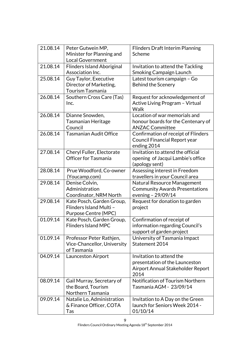| 21.08.14 | Peter Gutwein MP,<br>Minister for Planning and<br><b>Local Government</b>    | <b>Flinders Draft Interim Planning</b><br>Scheme                                                        |
|----------|------------------------------------------------------------------------------|---------------------------------------------------------------------------------------------------------|
| 21.08.14 | <b>Flinders Island Aboriginal</b><br>Association Inc.                        | Invitation to attend the Tackling<br>Smoking Campaign Launch                                            |
| 25.08.14 | Guy Taylor, Executive<br>Director of Marketing,<br><b>Tourism Tasmania</b>   | Latest tourism campaign - Go<br><b>Behind the Scenery</b>                                               |
| 26.08.14 | Southern Cross Care (Tas)<br>Inc.                                            | Request for acknowledgement of<br>Active Living Program - Virtual<br><b>Walk</b>                        |
| 26.08.14 | Dianne Snowden,<br><b>Tasmanian Heritage</b><br>Council                      | Location of war memorials and<br>honour boards for the Centenary of<br><b>ANZAC Committee</b>           |
| 26.08.14 | <b>Tasmanian Audit Office</b>                                                | Confirmation of receipt of Flinders<br>Council Financial Report year<br>ending 2014                     |
| 27.08.14 | Cheryl Fuller, Electorate<br><b>Officer for Tasmania</b>                     | Invitation to attend the official<br>opening of Jacqui Lambie's office<br>(apology sent)                |
| 28.08.14 | Prue Woodford, Co-owner<br>(Youcamp.com)                                     | Assessing interest in Freedom<br>travellers in your Council area                                        |
| 29.08.14 | Denise Colvin,<br>Administration<br>Coordinator, NRM North                   | Natural Resource Management<br><b>Community Awards Presentations</b><br>evening - 29/09/14              |
| 29.08.14 | Kate Posch, Garden Group,<br>Flinders Island Multi -<br>Purpose Centre (MPC) | Request for donation to garden<br>project                                                               |
| 01.09.14 | Kate Posch, Garden Group,<br><b>Flinders Island MPC</b>                      | Confirmation of receipt of<br>information regarding Council's<br>support of garden project              |
| 01.09.14 | Professor Peter Rathjen,<br>Vice-Chancellor, University<br>of Tasmania       | University of Tasmania Impact<br>Statement 2014                                                         |
| 04.09.14 | Launceston Airport                                                           | Invitation to attend the<br>presentation of the Launceston<br>Airport Annual Stakeholder Report<br>2014 |
| 08.09.14 | Gail Murray, Secretary of<br>the Board, Tourism<br>Northern Tasmania         | Notification of Tourism Northern<br>Tasmania AGM - 23/09/14                                             |
| 09.09.14 | Natalie Lo, Administration<br>& Finance Officer, COTA<br>Tas                 | Invitation to A Day on the Green<br>launch for Seniors Week 2014 -<br>01/10/14                          |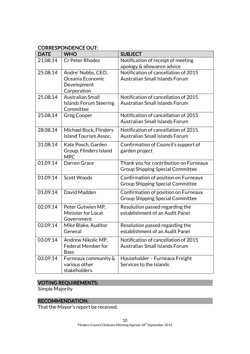# CORRESPONDENCE OUT:

| <b>DATE</b> | <b>WHO</b>                                                            | <b>SUBJECT</b>                                                                    |
|-------------|-----------------------------------------------------------------------|-----------------------------------------------------------------------------------|
| 21.08.14    | <b>Cr Peter Rhodes</b>                                                | Notification of receipt of meeting<br>apology & allowance advice                  |
| 25.08.14    | Andre' Nobbs, CEO,<br>Oceania Economic<br>Development<br>Corporation  | Notification of cancellation of 2015<br><b>Australian Small Islands Forum</b>     |
| 25.08.14    | <b>Australian Small</b><br><b>Islands Forum Steering</b><br>Committee | Notification of cancellation of 2015<br><b>Australian Small Islands Forum</b>     |
| 25.08.14    | <b>Greg Cooper</b>                                                    | Notification of cancellation of 2015<br>Australian Small Islands Forum            |
| 28.08.14    | Michael Buck, Flinders<br><b>Island Tourism Assoc.</b>                | Notification of cancellation of 2015<br><b>Australian Small Islands Forum</b>     |
| 31.08.14    | Kate Posch, Garden<br>Group, Flinders Island<br><b>MPC</b>            | Confirmation of Council's support of<br>garden project                            |
| 01.09.14    | Darren Grace                                                          | Thank you for contribution on Furneaux<br><b>Group Shipping Special Committee</b> |
| 01.09.14    | <b>Scott Woods</b>                                                    | Confirmation of position on Furneaux<br><b>Group Shipping Special Committee</b>   |
| 01.09.14    | David Madden                                                          | Confirmation of position on Furneaux<br><b>Group Shipping Special Committee</b>   |
| 02.09.14    | Peter Gutwien MP,<br><b>Minister for Local</b><br>Government          | Resolution passed regarding the<br>establishment of an Audit Panel                |
| 02.09.14    | Mike Blake, Auditor<br>General                                        | Resolution passed regarding the<br>establishment of an Audit Panel                |
| 03.09.14    | Andrew Nikolic MP,<br><b>Federal Member for</b><br><b>Bass</b>        | Notification of cancellation of 2015<br>Australian Small Islands Forum            |
| 03.09.14    | Furneaux community &<br>various other<br>stakeholders                 | Householder - Furneaux Freight<br>Services to the Islands                         |

# VOTING REQUIREMENTS:

Simple Majority

# RECOMMENDATION:

That the Mayor's report be received.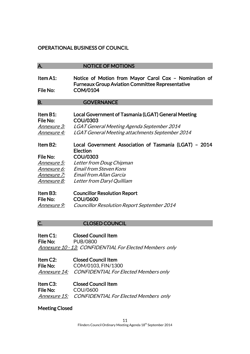# OPERATIONAL BUSINESS OF COUNCIL

# A. NOTICE OF MOTIONS Item A1: Notice of Motion from Mayor Carol Cox – Nomination of Furneaux Group Aviation Committee Representative File No: COM/0104 B. **GOVERNANCE** Item B1: Local Government of Tasmania (LGAT) General Meeting File No: COU/0303 Annexure 3: LGAT General Meeting Agenda September 2014 Annexure 4: LGAT General Meeting attachments September 2014 Item B2: Local Government Association of Tasmania (LGAT) – 2014 Election File No: COU/0303 Annexure 5: Letter from Doug Chipman Annexure 6: Email from Steven Kons Annexure 7: Email from Allan Garcia Annexure 8: Letter from Daryl Quilliam Item B3: Councillor Resolution Report File No: COU/0600 Annexure 9: Councillor Resolution Report September 2014

#### C. CLOSED COUNCIL

Item C1: Closed Council Item File No: PUB/0800 Annexure 10 - 13: CONFIDENTIAL For Elected Members only

Item C2: Closed Council Item File No: COM/0103, FIN/1300 Annexure 14: CONFIDENTIAL For Elected Members only

Item C3: Closed Council Item File No: COU/0600 Annexure 15: CONFIDENTIAL For Elected Members only

# Meeting Closed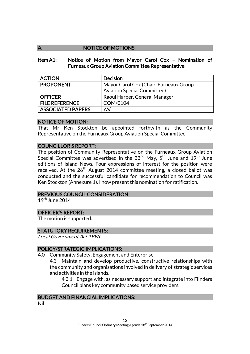# A. NOTICE OF MOTIONS

#### Item A1: Notice of Motion from Mayor Carol Cox – Nomination of Furneaux Group Aviation Committee Representative

| <b>ACTION</b>            | <b>Decision</b>                        |
|--------------------------|----------------------------------------|
| <b>PROPONENT</b>         | Mayor Carol Cox (Chair, Furneaux Group |
|                          | <b>Aviation Special Committee)</b>     |
| <b>OFFICER</b>           | Raoul Harper, General Manager          |
| <b>FILE REFERENCE</b>    | COM/0104                               |
| <b>ASSOCIATED PAPERS</b> | Nil                                    |

#### NOTICE OF MOTION:

That Mr Ken Stockton be appointed forthwith as the Community Representative on the Furneaux Group Aviation Special Committee.

#### COUNCILLOR'S REPORT:

The position of Community Representative on the Furneaux Group Aviation Special Committee was advertised in the  $22^{nd}$  May,  $5^{th}$  June and  $19^{th}$  June editions of Island News. Four expressions of interest for the position were received. At the  $26^{th}$  August 2014 committee meeting, a closed ballot was conducted and the successful candidate for recommendation to Council was Ken Stockton (Annexure 1). I now present this nomination for ratification.

#### PREVIOUS COUNCIL CONSIDERATION:

 $19^{th}$  June 2014

#### OFFICER'S REPORT:

The motion is supported.

#### STATUTORY REQUIREMENTS:

Local Government Act 1993

#### POLICY/STRATEGIC IMPLICATIONS:

4.0 Community Safety, Engagement and Enterprise

4.3 Maintain and develop productive, constructive relationships with the community and organisations involved in delivery of strategic services and activities in the islands.

4.3.1 Engage with, as necessary support and integrate into Flinders Council plans key community based service providers.

#### BUDGET AND FINANCIAL IMPLICATIONS:

Nil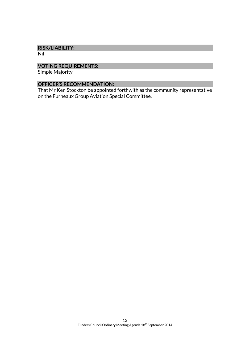#### RISK/LIABILITY:

Nil

# VOTING REQUIREMENTS:

Simple Majority

# OFFICER'S RECOMMENDATION:

That Mr Ken Stockton be appointed forthwith as the community representative on the Furneaux Group Aviation Special Committee.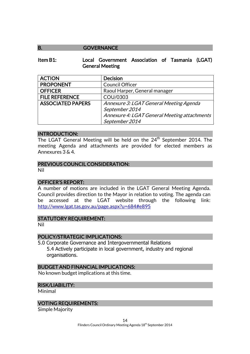#### B. **GOVERNANCE**

#### Item B1: Local Government Association of Tasmania (LGAT) General Meeting

| <b>ACTION</b>            | <b>Decision</b>                              |
|--------------------------|----------------------------------------------|
| <b>PROPONENT</b>         | <b>Council Officer</b>                       |
| <b>OFFICER</b>           | Raoul Harper, General manager                |
| <b>FILE REFERENCE</b>    | COU/0303                                     |
| <b>ASSOCIATED PAPERS</b> | Annexure 3: LGAT General Meeting Agenda      |
|                          | September 2014                               |
|                          | Annexure 4: LGAT General Meeting attachments |
|                          | September 2014                               |

#### INTRODUCTION:

The LGAT General Meeting will be held on the 24<sup>th</sup> September 2014. The meeting Agenda and attachments are provided for elected members as Annexures 3 & 4.

#### PREVIOUS COUNCIL CONSIDERATION:

Nil

#### OFFICER'S REPORT:

A number of motions are included in the LGAT General Meeting Agenda. Council provides direction to the Mayor in relation to voting. The agenda can be accessed at the LGAT website through the following link: <http://www.lgat.tas.gov.au/page.aspx?u=684#e895>

#### STATUTORY REQUIREMENT:

Nil

#### POLICY/STRATEGIC IMPLICATIONS:

5.0 Corporate Governance and Intergovernmental Relations 5.4 Actively participate in local government, industry and regional organisations.

#### BUDGET AND FINANCIAL IMPLICATIONS:

No known budget implications at this time.

#### RISK/LIABILITY:

Minimal

#### VOTING REQUIREMENTS:

Simple Majority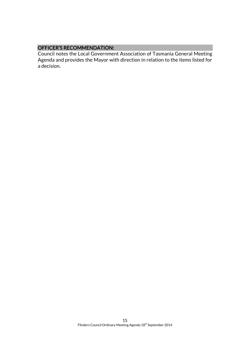# OFFICER'S RECOMMENDATION:

Council notes the Local Government Association of Tasmania General Meeting Agenda and provides the Mayor with direction in relation to the items listed for a decision.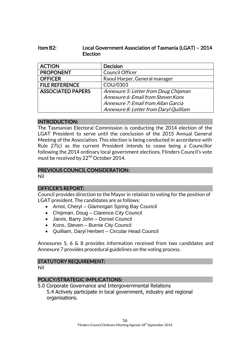# Item B2: Local Government Association of Tasmania (LGAT) – 2014 **Election**

| <b>ACTION</b>            | <b>Decision</b>                        |
|--------------------------|----------------------------------------|
| <b>PROPONENT</b>         | <b>Council Officer</b>                 |
| <b>OFFICER</b>           | Raoul Harper, General manager          |
| <b>FILE REFERENCE</b>    | COU/0303                               |
| <b>ASSOCIATED PAPERS</b> | Annexure 5: Letter from Doug Chipman   |
|                          | Annexure 6: Email from Steven Kons     |
|                          | Annexure 7: Email from Allan Garcia    |
|                          | Annexure 8: Letter from Daryl Quilliam |

#### INTRODUCTION:

The Tasmanian Electoral Commission is conducting the 2014 election of the LGAT President to serve until the conclusion of the 2015 Annual General Meeting of the Association. This election is being conducted in accordance with Rule 27(c) as the current President intends to cease being a Councillor following the 2014 ordinary local government elections. Flinders Council's vote must be received by 22<sup>nd</sup> October 2014.

# PREVIOUS COUNCIL CONSIDERATION:

Nil

# OFFICER'S REPORT:

Council provides direction to the Mayor in relation to voting for the position of LGAT president. The candidates are as follows:

- Arnol, Cheryl Glamorgan Spring Bay Council
- Chipman, Doug Clarence City Council
- Jarvis, Barry John Dorset Council
- Kons, Steven Burnie City Council
- Quilliam, Daryl Herbert Circular Head Council

Annexures 5, 6 & 8 provides information received from two candidates and Annexure 7 provides procedural guidelines on the voting process.

# STATUTORY REQUIREMENT:

Nil

# POLICY/STRATEGIC IMPLICATIONS:

5.0 Corporate Governance and Intergovernmental Relations 5.4 Actively participate in local government, industry and regional organisations.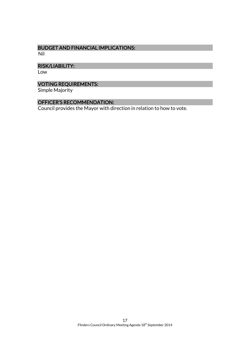# BUDGET AND FINANCIAL IMPLICATIONS:

Nil

# RISK/LIABILITY:

Low

# VOTING REQUIREMENTS:

Simple Majority

# OFFICER'S RECOMMENDATION:

Council provides the Mayor with direction in relation to how to vote.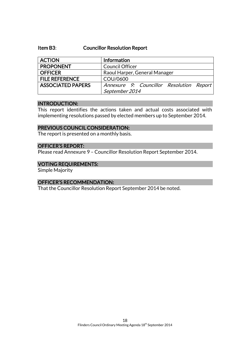#### Item B3: Councillor Resolution Report

| <b>ACTION</b>            | Information                              |
|--------------------------|------------------------------------------|
| <b>PROPONENT</b>         | <b>Council Officer</b>                   |
| <b>OFFICER</b>           | Raoul Harper, General Manager            |
| <b>FILE REFERENCE</b>    | COU/0600                                 |
| <b>ASSOCIATED PAPERS</b> | Annexure 9: Councillor Resolution Report |
|                          | September 2014                           |

#### INTRODUCTION:

This report identifies the actions taken and actual costs associated with implementing resolutions passed by elected members up to September 2014.

#### PREVIOUS COUNCIL CONSIDERATION:

The report is presented on a monthly basis.

#### OFFICER'S REPORT:

Please read Annexure 9 – Councillor Resolution Report September 2014.

#### VOTING REQUIREMENTS:

Simple Majority

#### OFFICER'S RECOMMENDATION:

That the Councillor Resolution Report September 2014 be noted.